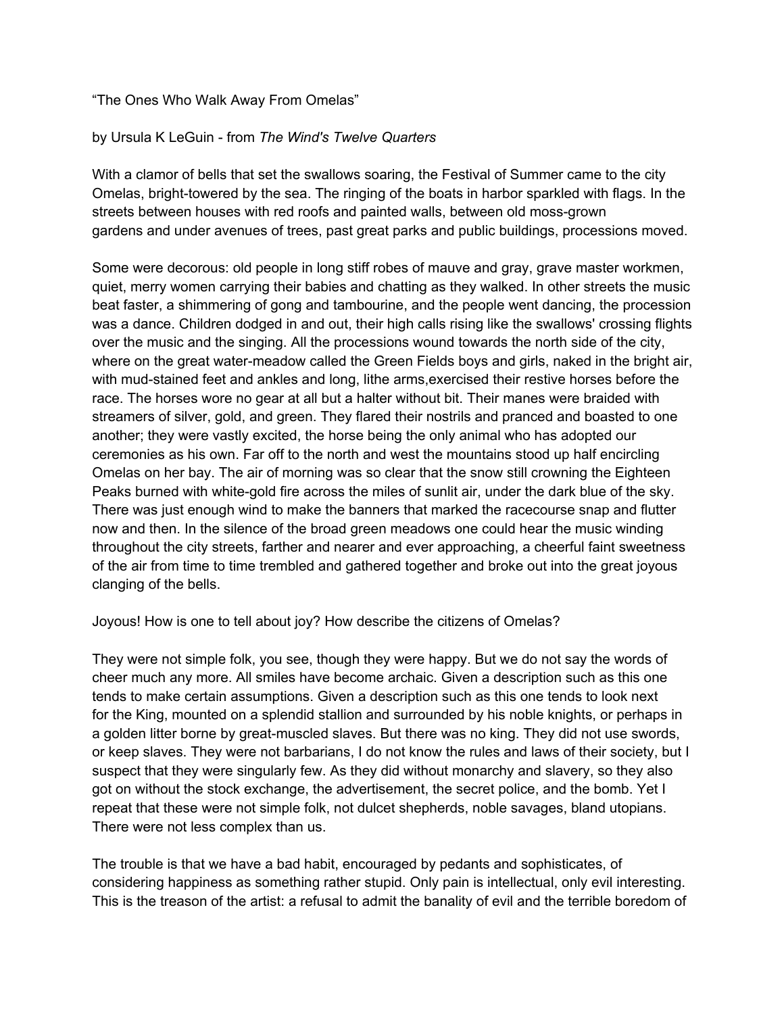"The Ones Who Walk Away From Omelas"

by Ursula K LeGuin - from *The Wind's Twelve Quarters*

With a clamor of bells that set the swallows soaring, the Festival of Summer came to the city Omelas, bright-towered by the sea. The ringing of the boats in harbor sparkled with flags. In the streets between houses with red roofs and painted walls, between old moss-grown gardens and under avenues of trees, past great parks and public buildings, processions moved.

Some were decorous: old people in long stiff robes of mauve and gray, grave master workmen, quiet, merry women carrying their babies and chatting as they walked. In other streets the music beat faster, a shimmering of gong and tambourine, and the people went dancing, the procession was a dance. Children dodged in and out, their high calls rising like the swallows' crossing flights over the music and the singing. All the processions wound towards the north side of the city, where on the great water-meadow called the Green Fields boys and girls, naked in the bright air, with mud-stained feet and ankles and long, lithe arms,exercised their restive horses before the race. The horses wore no gear at all but a halter without bit. Their manes were braided with streamers of silver, gold, and green. They flared their nostrils and pranced and boasted to one another; they were vastly excited, the horse being the only animal who has adopted our ceremonies as his own. Far off to the north and west the mountains stood up half encircling Omelas on her bay. The air of morning was so clear that the snow still crowning the Eighteen Peaks burned with white-gold fire across the miles of sunlit air, under the dark blue of the sky. There was just enough wind to make the banners that marked the racecourse snap and flutter now and then. In the silence of the broad green meadows one could hear the music winding throughout the city streets, farther and nearer and ever approaching, a cheerful faint sweetness of the air from time to time trembled and gathered together and broke out into the great joyous clanging of the bells.

Joyous! How is one to tell about joy? How describe the citizens of Omelas?

They were not simple folk, you see, though they were happy. But we do not say the words of cheer much any more. All smiles have become archaic. Given a description such as this one tends to make certain assumptions. Given a description such as this one tends to look next for the King, mounted on a splendid stallion and surrounded by his noble knights, or perhaps in a golden litter borne by great-muscled slaves. But there was no king. They did not use swords, or keep slaves. They were not barbarians, I do not know the rules and laws of their society, but I suspect that they were singularly few. As they did without monarchy and slavery, so they also got on without the stock exchange, the advertisement, the secret police, and the bomb. Yet I repeat that these were not simple folk, not dulcet shepherds, noble savages, bland utopians. There were not less complex than us.

The trouble is that we have a bad habit, encouraged by pedants and sophisticates, of considering happiness as something rather stupid. Only pain is intellectual, only evil interesting. This is the treason of the artist: a refusal to admit the banality of evil and the terrible boredom of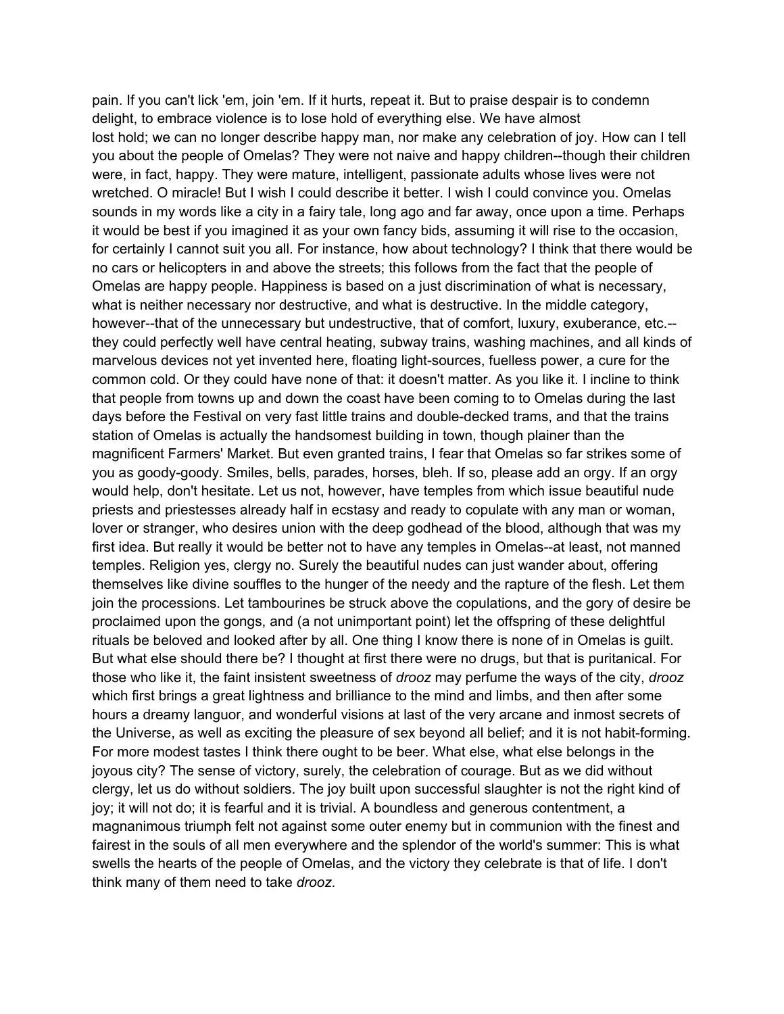pain. If you can't lick 'em, join 'em. If it hurts, repeat it. But to praise despair is to condemn delight, to embrace violence is to lose hold of everything else. We have almost lost hold; we can no longer describe happy man, nor make any celebration of joy. How can I tell you about the people of Omelas? They were not naive and happy children--though their children were, in fact, happy. They were mature, intelligent, passionate adults whose lives were not wretched. O miracle! But I wish I could describe it better. I wish I could convince you. Omelas sounds in my words like a city in a fairy tale, long ago and far away, once upon a time. Perhaps it would be best if you imagined it as your own fancy bids, assuming it will rise to the occasion, for certainly I cannot suit you all. For instance, how about technology? I think that there would be no cars or helicopters in and above the streets; this follows from the fact that the people of Omelas are happy people. Happiness is based on a just discrimination of what is necessary, what is neither necessary nor destructive, and what is destructive. In the middle category, however--that of the unnecessary but undestructive, that of comfort, luxury, exuberance, etc.- they could perfectly well have central heating, subway trains, washing machines, and all kinds of marvelous devices not yet invented here, floating light-sources, fuelless power, a cure for the common cold. Or they could have none of that: it doesn't matter. As you like it. I incline to think that people from towns up and down the coast have been coming to to Omelas during the last days before the Festival on very fast little trains and double-decked trams, and that the trains station of Omelas is actually the handsomest building in town, though plainer than the magnificent Farmers' Market. But even granted trains, I fear that Omelas so far strikes some of you as goody-goody. Smiles, bells, parades, horses, bleh. If so, please add an orgy. If an orgy would help, don't hesitate. Let us not, however, have temples from which issue beautiful nude priests and priestesses already half in ecstasy and ready to copulate with any man or woman, lover or stranger, who desires union with the deep godhead of the blood, although that was my first idea. But really it would be better not to have any temples in Omelas--at least, not manned temples. Religion yes, clergy no. Surely the beautiful nudes can just wander about, offering themselves like divine souffles to the hunger of the needy and the rapture of the flesh. Let them join the processions. Let tambourines be struck above the copulations, and the gory of desire be proclaimed upon the gongs, and (a not unimportant point) let the offspring of these delightful rituals be beloved and looked after by all. One thing I know there is none of in Omelas is guilt. But what else should there be? I thought at first there were no drugs, but that is puritanical. For those who like it, the faint insistent sweetness of *drooz* may perfume the ways of the city, *drooz* which first brings a great lightness and brilliance to the mind and limbs, and then after some hours a dreamy languor, and wonderful visions at last of the very arcane and inmost secrets of the Universe, as well as exciting the pleasure of sex beyond all belief; and it is not habit-forming. For more modest tastes I think there ought to be beer. What else, what else belongs in the joyous city? The sense of victory, surely, the celebration of courage. But as we did without clergy, let us do without soldiers. The joy built upon successful slaughter is not the right kind of joy; it will not do; it is fearful and it is trivial. A boundless and generous contentment, a magnanimous triumph felt not against some outer enemy but in communion with the finest and fairest in the souls of all men everywhere and the splendor of the world's summer: This is what swells the hearts of the people of Omelas, and the victory they celebrate is that of life. I don't think many of them need to take *drooz*.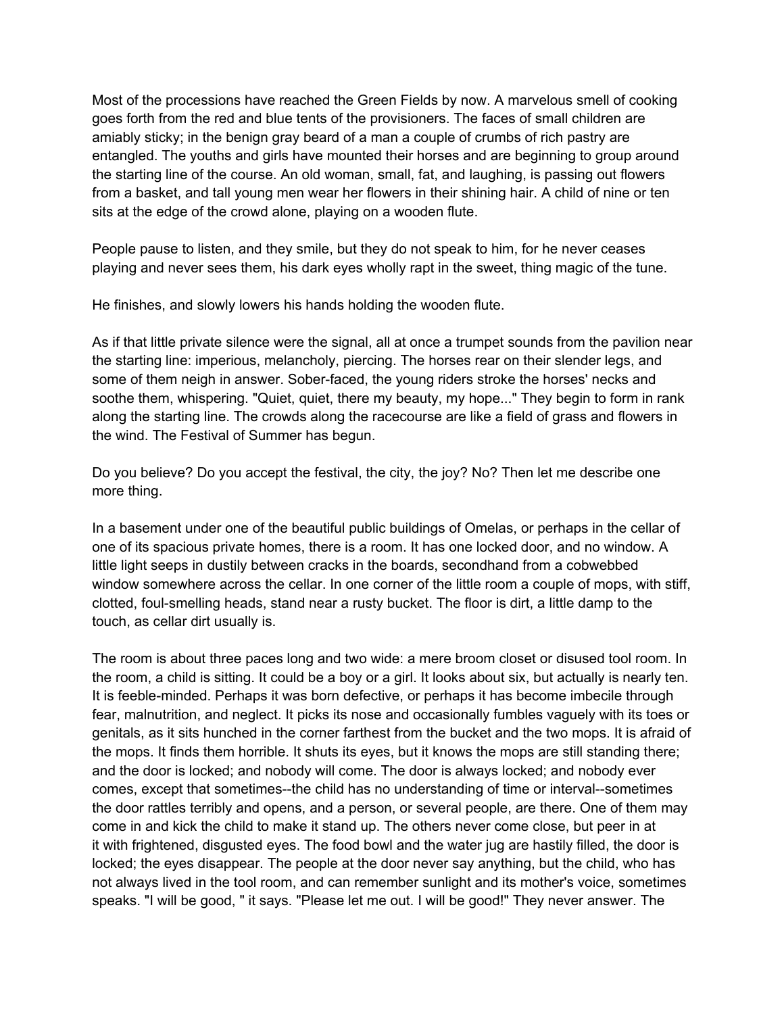Most of the processions have reached the Green Fields by now. A marvelous smell of cooking goes forth from the red and blue tents of the provisioners. The faces of small children are amiably sticky; in the benign gray beard of a man a couple of crumbs of rich pastry are entangled. The youths and girls have mounted their horses and are beginning to group around the starting line of the course. An old woman, small, fat, and laughing, is passing out flowers from a basket, and tall young men wear her flowers in their shining hair. A child of nine or ten sits at the edge of the crowd alone, playing on a wooden flute.

People pause to listen, and they smile, but they do not speak to him, for he never ceases playing and never sees them, his dark eyes wholly rapt in the sweet, thing magic of the tune.

He finishes, and slowly lowers his hands holding the wooden flute.

As if that little private silence were the signal, all at once a trumpet sounds from the pavilion near the starting line: imperious, melancholy, piercing. The horses rear on their slender legs, and some of them neigh in answer. Sober-faced, the young riders stroke the horses' necks and soothe them, whispering. "Quiet, quiet, there my beauty, my hope..." They begin to form in rank along the starting line. The crowds along the racecourse are like a field of grass and flowers in the wind. The Festival of Summer has begun.

Do you believe? Do you accept the festival, the city, the joy? No? Then let me describe one more thing.

In a basement under one of the beautiful public buildings of Omelas, or perhaps in the cellar of one of its spacious private homes, there is a room. It has one locked door, and no window. A little light seeps in dustily between cracks in the boards, secondhand from a cobwebbed window somewhere across the cellar. In one corner of the little room a couple of mops, with stiff, clotted, foul-smelling heads, stand near a rusty bucket. The floor is dirt, a little damp to the touch, as cellar dirt usually is.

The room is about three paces long and two wide: a mere broom closet or disused tool room. In the room, a child is sitting. It could be a boy or a girl. It looks about six, but actually is nearly ten. It is feeble-minded. Perhaps it was born defective, or perhaps it has become imbecile through fear, malnutrition, and neglect. It picks its nose and occasionally fumbles vaguely with its toes or genitals, as it sits hunched in the corner farthest from the bucket and the two mops. It is afraid of the mops. It finds them horrible. It shuts its eyes, but it knows the mops are still standing there; and the door is locked; and nobody will come. The door is always locked; and nobody ever comes, except that sometimes--the child has no understanding of time or interval--sometimes the door rattles terribly and opens, and a person, or several people, are there. One of them may come in and kick the child to make it stand up. The others never come close, but peer in at it with frightened, disgusted eyes. The food bowl and the water jug are hastily filled, the door is locked; the eyes disappear. The people at the door never say anything, but the child, who has not always lived in the tool room, and can remember sunlight and its mother's voice, sometimes speaks. "I will be good, " it says. "Please let me out. I will be good!" They never answer. The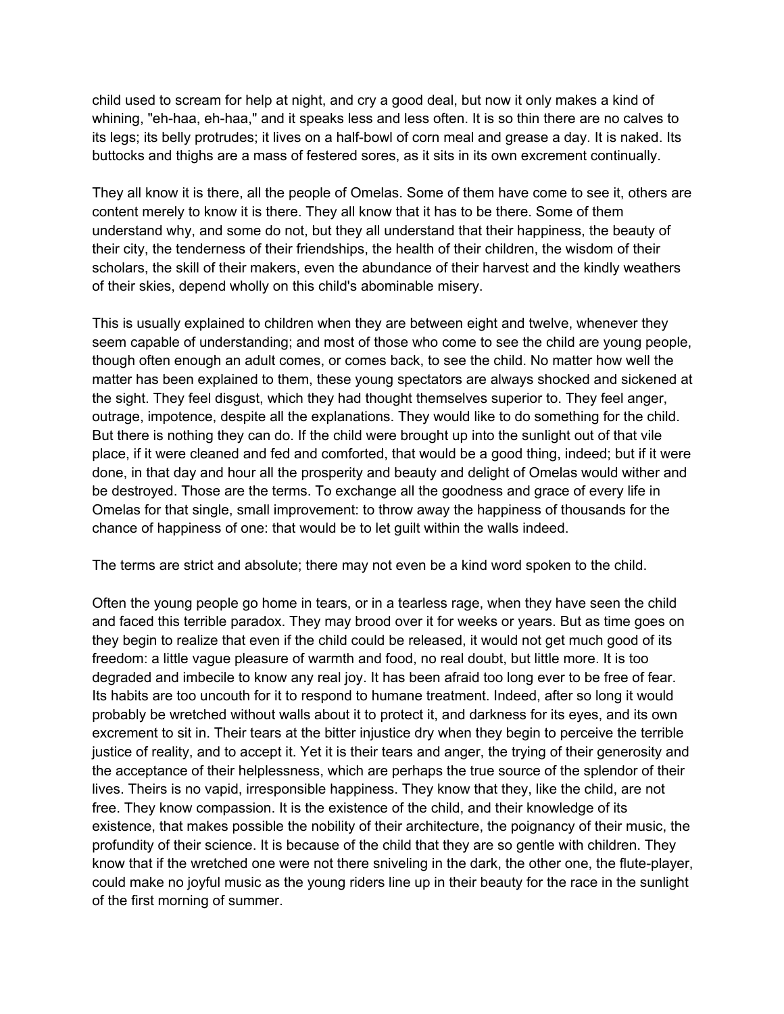child used to scream for help at night, and cry a good deal, but now it only makes a kind of whining, "eh-haa, eh-haa," and it speaks less and less often. It is so thin there are no calves to its legs; its belly protrudes; it lives on a half-bowl of corn meal and grease a day. It is naked. Its buttocks and thighs are a mass of festered sores, as it sits in its own excrement continually.

They all know it is there, all the people of Omelas. Some of them have come to see it, others are content merely to know it is there. They all know that it has to be there. Some of them understand why, and some do not, but they all understand that their happiness, the beauty of their city, the tenderness of their friendships, the health of their children, the wisdom of their scholars, the skill of their makers, even the abundance of their harvest and the kindly weathers of their skies, depend wholly on this child's abominable misery.

This is usually explained to children when they are between eight and twelve, whenever they seem capable of understanding; and most of those who come to see the child are young people, though often enough an adult comes, or comes back, to see the child. No matter how well the matter has been explained to them, these young spectators are always shocked and sickened at the sight. They feel disgust, which they had thought themselves superior to. They feel anger, outrage, impotence, despite all the explanations. They would like to do something for the child. But there is nothing they can do. If the child were brought up into the sunlight out of that vile place, if it were cleaned and fed and comforted, that would be a good thing, indeed; but if it were done, in that day and hour all the prosperity and beauty and delight of Omelas would wither and be destroyed. Those are the terms. To exchange all the goodness and grace of every life in Omelas for that single, small improvement: to throw away the happiness of thousands for the chance of happiness of one: that would be to let guilt within the walls indeed.

The terms are strict and absolute; there may not even be a kind word spoken to the child.

Often the young people go home in tears, or in a tearless rage, when they have seen the child and faced this terrible paradox. They may brood over it for weeks or years. But as time goes on they begin to realize that even if the child could be released, it would not get much good of its freedom: a little vague pleasure of warmth and food, no real doubt, but little more. It is too degraded and imbecile to know any real joy. It has been afraid too long ever to be free of fear. Its habits are too uncouth for it to respond to humane treatment. Indeed, after so long it would probably be wretched without walls about it to protect it, and darkness for its eyes, and its own excrement to sit in. Their tears at the bitter injustice dry when they begin to perceive the terrible justice of reality, and to accept it. Yet it is their tears and anger, the trying of their generosity and the acceptance of their helplessness, which are perhaps the true source of the splendor of their lives. Theirs is no vapid, irresponsible happiness. They know that they, like the child, are not free. They know compassion. It is the existence of the child, and their knowledge of its existence, that makes possible the nobility of their architecture, the poignancy of their music, the profundity of their science. It is because of the child that they are so gentle with children. They know that if the wretched one were not there sniveling in the dark, the other one, the flute-player, could make no joyful music as the young riders line up in their beauty for the race in the sunlight of the first morning of summer.